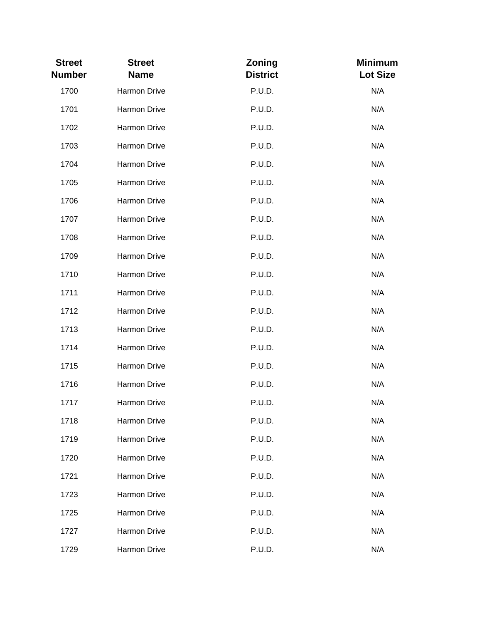| <b>Street</b><br><b>Number</b> | <b>Street</b><br><b>Name</b> | Zoning<br><b>District</b> | <b>Minimum</b><br><b>Lot Size</b> |
|--------------------------------|------------------------------|---------------------------|-----------------------------------|
| 1700                           | Harmon Drive                 | P.U.D.                    | N/A                               |
| 1701                           | Harmon Drive                 | P.U.D.                    | N/A                               |
| 1702                           | Harmon Drive                 | P.U.D.                    | N/A                               |
| 1703                           | Harmon Drive                 | P.U.D.                    | N/A                               |
| 1704                           | Harmon Drive                 | P.U.D.                    | N/A                               |
| 1705                           | Harmon Drive                 | P.U.D.                    | N/A                               |
| 1706                           | Harmon Drive                 | P.U.D.                    | N/A                               |
| 1707                           | Harmon Drive                 | P.U.D.                    | N/A                               |
| 1708                           | Harmon Drive                 | P.U.D.                    | N/A                               |
| 1709                           | Harmon Drive                 | P.U.D.                    | N/A                               |
| 1710                           | Harmon Drive                 | P.U.D.                    | N/A                               |
| 1711                           | Harmon Drive                 | P.U.D.                    | N/A                               |
| 1712                           | Harmon Drive                 | P.U.D.                    | N/A                               |
| 1713                           | Harmon Drive                 | P.U.D.                    | N/A                               |
| 1714                           | Harmon Drive                 | P.U.D.                    | N/A                               |
| 1715                           | Harmon Drive                 | P.U.D.                    | N/A                               |
| 1716                           | Harmon Drive                 | P.U.D.                    | N/A                               |
| 1717                           | Harmon Drive                 | P.U.D.                    | N/A                               |
| 1718                           | <b>Harmon Drive</b>          | P.U.D.                    | N/A                               |
| 1719                           | Harmon Drive                 | P.U.D.                    | N/A                               |
| 1720                           | <b>Harmon Drive</b>          | P.U.D.                    | N/A                               |
| 1721                           | Harmon Drive                 | P.U.D.                    | N/A                               |
| 1723                           | Harmon Drive                 | P.U.D.                    | N/A                               |
| 1725                           | Harmon Drive                 | P.U.D.                    | N/A                               |
| 1727                           | Harmon Drive                 | P.U.D.                    | N/A                               |
| 1729                           | Harmon Drive                 | P.U.D.                    | N/A                               |